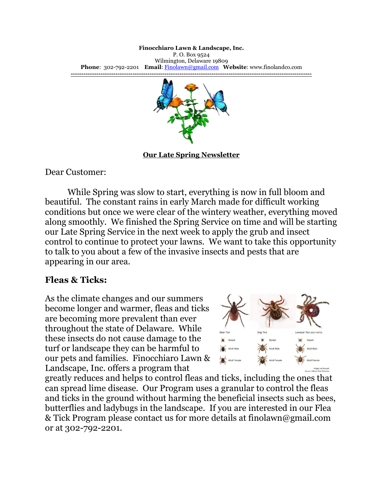## **Finocchiaro Lawn & Landscape, Inc.**

P. O. Box 9524 Wilmington, Delaware 19809 **Phone**: 302-792-2201 **Email**: [Finolawn@gmail.com](mailto:Finolawn@gmail.com) **Website**: www.finolandco.com **-----------------------------------------------------------------------------------------------------------------**



**Our Late Spring Newsletter**

Dear Customer:

While Spring was slow to start, everything is now in full bloom and beautiful. The constant rains in early March made for difficult working conditions but once we were clear of the wintery weather, everything moved along smoothly. We finished the Spring Service on time and will be starting our Late Spring Service in the next week to apply the grub and insect control to continue to protect your lawns. We want to take this opportunity to talk to you about a few of the invasive insects and pests that are appearing in our area.

## **Fleas & Ticks:**

As the climate changes and our summers become longer and warmer, fleas and ticks are becoming more prevalent than ever throughout the state of Delaware. While these insects do not cause damage to the turf or landscape they can be harmful to our pets and families. Finocchiaro Lawn & Landscape, Inc. offers a program that



greatly reduces and helps to control fleas and ticks, including the ones that can spread lime disease. Our Program uses a granular to control the fleas and ticks in the ground without harming the beneficial insects such as bees, butterflies and ladybugs in the landscape. If you are interested in our Flea & Tick Program please contact us for more details at finolawn@gmail.com or at 302-792-2201.